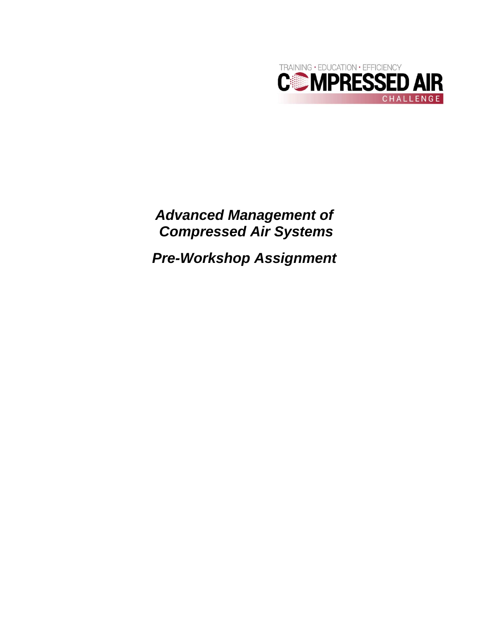

*Advanced Management of Compressed Air Systems* 

*Pre-Workshop Assignment*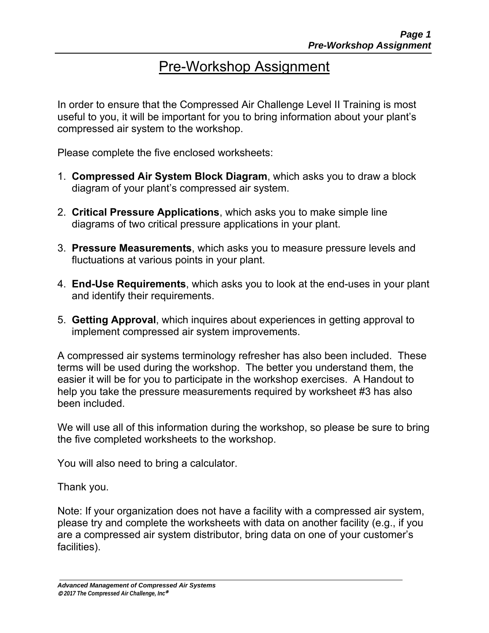# Pre-Workshop Assignment

In order to ensure that the Compressed Air Challenge Level II Training is most useful to you, it will be important for you to bring information about your plant's compressed air system to the workshop.

Please complete the five enclosed worksheets:

- 1. **Compressed Air System Block Diagram**, which asks you to draw a block diagram of your plant's compressed air system.
- 2. **Critical Pressure Applications**, which asks you to make simple line diagrams of two critical pressure applications in your plant.
- 3. **Pressure Measurements**, which asks you to measure pressure levels and fluctuations at various points in your plant.
- 4. **End-Use Requirements**, which asks you to look at the end-uses in your plant and identify their requirements.
- 5. **Getting Approval**, which inquires about experiences in getting approval to implement compressed air system improvements.

A compressed air systems terminology refresher has also been included. These terms will be used during the workshop. The better you understand them, the easier it will be for you to participate in the workshop exercises. A Handout to help you take the pressure measurements required by worksheet #3 has also been included.

We will use all of this information during the workshop, so please be sure to bring the five completed worksheets to the workshop.

You will also need to bring a calculator.

Thank you.

Note: If your organization does not have a facility with a compressed air system, please try and complete the worksheets with data on another facility (e.g., if you are a compressed air system distributor, bring data on one of your customer's facilities).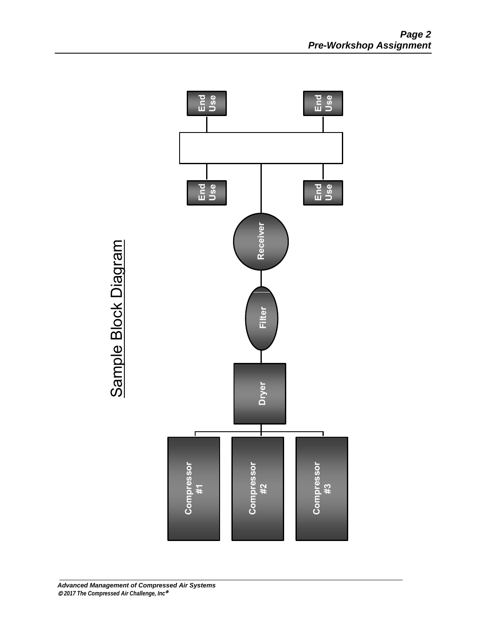

Sample Block Diagram Sample Block Diagram

#### *Advanced Management of Compressed Air Systems 2017 The Compressed Air Challenge, Inc*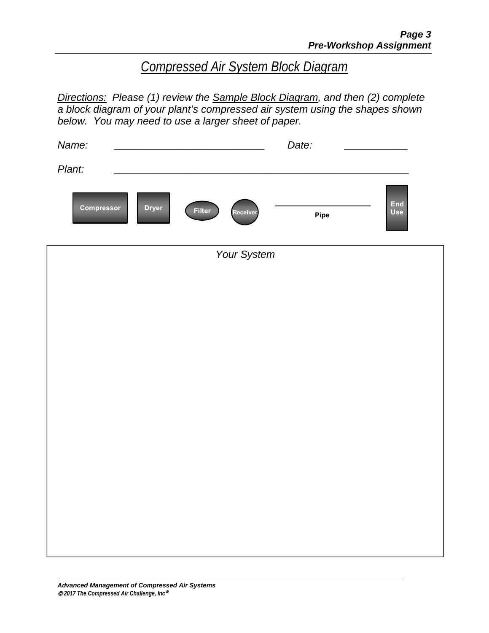# *Compressed Air System Block Diagram*

*Directions: Please (1) review the Sample Block Diagram, and then (2) complete a block diagram of your plant's compressed air system using the shapes shown below. You may need to use a larger sheet of paper.* 

| Name:                                                   | Date:              |  |  |  |  |  |  |  |
|---------------------------------------------------------|--------------------|--|--|--|--|--|--|--|
| Plant:                                                  |                    |  |  |  |  |  |  |  |
| Compressor<br><b>Dryer</b><br><b>Filter</b><br>Receiver | End<br>Use<br>Pipe |  |  |  |  |  |  |  |
| Your System                                             |                    |  |  |  |  |  |  |  |
|                                                         |                    |  |  |  |  |  |  |  |
|                                                         |                    |  |  |  |  |  |  |  |
|                                                         |                    |  |  |  |  |  |  |  |
|                                                         |                    |  |  |  |  |  |  |  |
|                                                         |                    |  |  |  |  |  |  |  |
|                                                         |                    |  |  |  |  |  |  |  |
|                                                         |                    |  |  |  |  |  |  |  |
|                                                         |                    |  |  |  |  |  |  |  |
|                                                         |                    |  |  |  |  |  |  |  |
|                                                         |                    |  |  |  |  |  |  |  |
|                                                         |                    |  |  |  |  |  |  |  |
|                                                         |                    |  |  |  |  |  |  |  |
|                                                         |                    |  |  |  |  |  |  |  |
|                                                         |                    |  |  |  |  |  |  |  |
|                                                         |                    |  |  |  |  |  |  |  |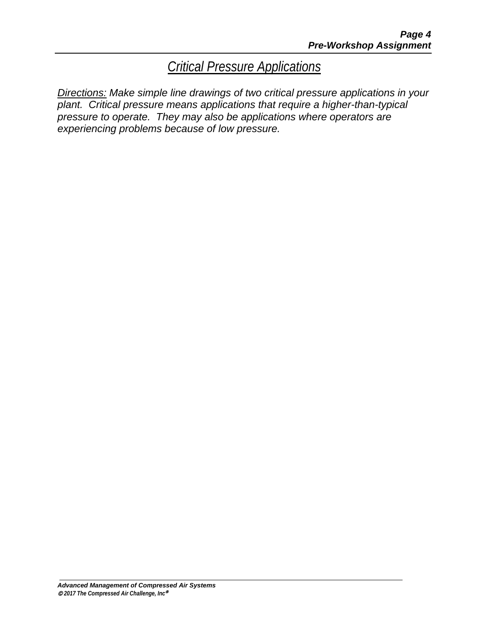*Critical Pressure Applications* 

*Directions: Make simple line drawings of two critical pressure applications in your plant. Critical pressure means applications that require a higher-than-typical pressure to operate. They may also be applications where operators are experiencing problems because of low pressure.*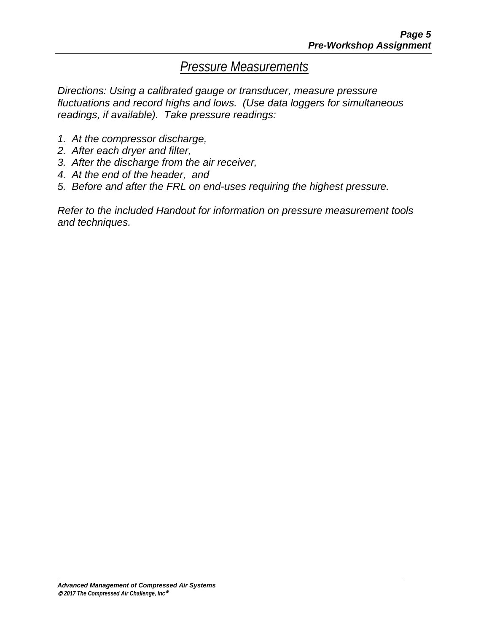### *Pressure Measurements*

*Directions: Using a calibrated gauge or transducer, measure pressure fluctuations and record highs and lows. (Use data loggers for simultaneous readings, if available). Take pressure readings:* 

- *1. At the compressor discharge,*
- *2. After each dryer and filter,*
- *3. After the discharge from the air receiver,*
- *4. At the end of the header, and*
- *5. Before and after the FRL on end-uses requiring the highest pressure.*

*Refer to the included Handout for information on pressure measurement tools and techniques.*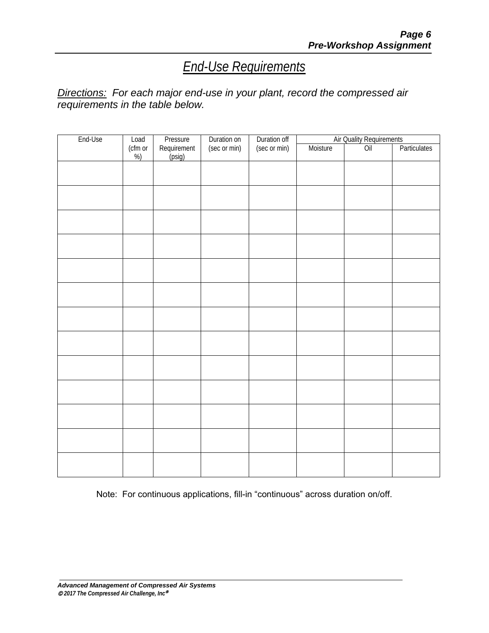# *End-Use Requirements*

#### *Directions: For each major end-use in your plant, record the compressed air requirements in the table below.*

| End-Use | Load         | Pressure              | Duration on  | Duration off | Air Quality Requirements |     |              |
|---------|--------------|-----------------------|--------------|--------------|--------------------------|-----|--------------|
|         | (cfm or<br>% | Requirement<br>(psig) | (sec or min) | (sec or min) | Moisture                 | Oil | Particulates |
|         |              |                       |              |              |                          |     |              |
|         |              |                       |              |              |                          |     |              |
|         |              |                       |              |              |                          |     |              |
|         |              |                       |              |              |                          |     |              |
|         |              |                       |              |              |                          |     |              |
|         |              |                       |              |              |                          |     |              |
|         |              |                       |              |              |                          |     |              |
|         |              |                       |              |              |                          |     |              |
|         |              |                       |              |              |                          |     |              |
|         |              |                       |              |              |                          |     |              |
|         |              |                       |              |              |                          |     |              |
|         |              |                       |              |              |                          |     |              |
|         |              |                       |              |              |                          |     |              |

Note: For continuous applications, fill-in "continuous" across duration on/off.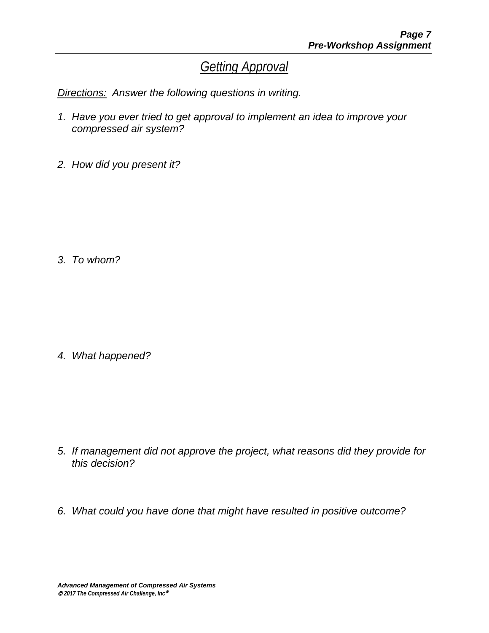## *Getting Approval*

*Directions: Answer the following questions in writing.* 

- *1. Have you ever tried to get approval to implement an idea to improve your compressed air system?*
- *2. How did you present it?*

*3. To whom?* 

*4. What happened?* 

- *5. If management did not approve the project, what reasons did they provide for this decision?*
- *6. What could you have done that might have resulted in positive outcome?*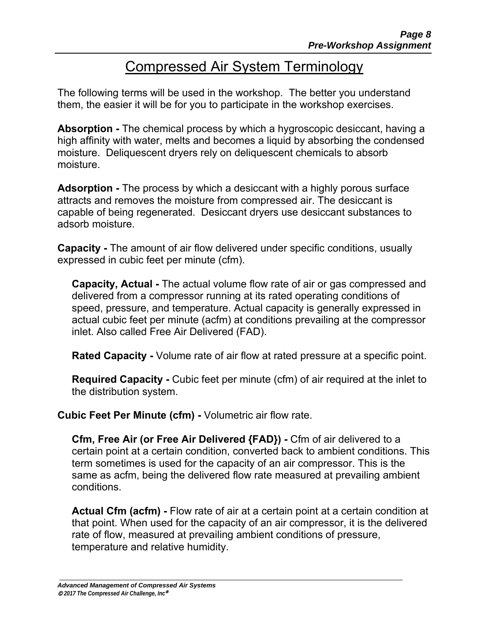# Compressed Air System Terminology

The following terms will be used in the workshop. The better you understand them, the easier it will be for you to participate in the workshop exercises.

**Absorption -** The chemical process by which a hygroscopic desiccant, having a high affinity with water, melts and becomes a liquid by absorbing the condensed moisture. Deliquescent dryers rely on deliquescent chemicals to absorb moisture.

**Adsorption -** The process by which a desiccant with a highly porous surface attracts and removes the moisture from compressed air. The desiccant is capable of being regenerated. Desiccant dryers use desiccant substances to adsorb moisture.

**Capacity -** The amount of air flow delivered under specific conditions, usually expressed in cubic feet per minute (cfm).

**Capacity, Actual -** The actual volume flow rate of air or gas compressed and delivered from a compressor running at its rated operating conditions of speed, pressure, and temperature. Actual capacity is generally expressed in actual cubic feet per minute (acfm) at conditions prevailing at the compressor inlet. Also called Free Air Delivered (FAD).

**Rated Capacity -** Volume rate of air flow at rated pressure at a specific point.

**Required Capacity -** Cubic feet per minute (cfm) of air required at the inlet to the distribution system.

**Cubic Feet Per Minute (cfm) -** Volumetric air flow rate.

**Cfm, Free Air (or Free Air Delivered {FAD}) -** Cfm of air delivered to a certain point at a certain condition, converted back to ambient conditions. This term sometimes is used for the capacity of an air compressor. This is the same as acfm, being the delivered flow rate measured at prevailing ambient conditions.

**Actual Cfm (acfm) -** Flow rate of air at a certain point at a certain condition at that point. When used for the capacity of an air compressor, it is the delivered rate of flow, measured at prevailing ambient conditions of pressure, temperature and relative humidity.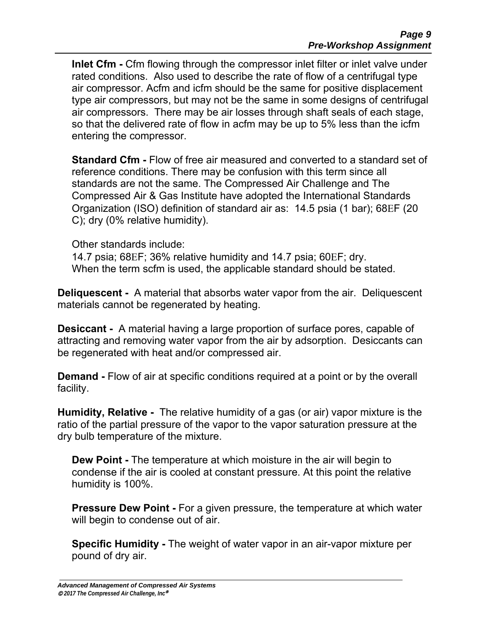**Inlet Cfm -** Cfm flowing through the compressor inlet filter or inlet valve under rated conditions. Also used to describe the rate of flow of a centrifugal type air compressor. Acfm and icfm should be the same for positive displacement type air compressors, but may not be the same in some designs of centrifugal air compressors. There may be air losses through shaft seals of each stage, so that the delivered rate of flow in acfm may be up to 5% less than the icfm entering the compressor.

**Standard Cfm -** Flow of free air measured and converted to a standard set of reference conditions. There may be confusion with this term since all standards are not the same. The Compressed Air Challenge and The Compressed Air & Gas Institute have adopted the International Standards Organization (ISO) definition of standard air as: 14.5 psia (1 bar); 68F (20 C); dry (0% relative humidity).

Other standards include:

14.7 psia; 68F; 36% relative humidity and 14.7 psia; 60F; dry. When the term scfm is used, the applicable standard should be stated.

**Deliquescent -** A material that absorbs water vapor from the air. Deliquescent materials cannot be regenerated by heating.

**Desiccant -** A material having a large proportion of surface pores, capable of attracting and removing water vapor from the air by adsorption. Desiccants can be regenerated with heat and/or compressed air.

**Demand -** Flow of air at specific conditions required at a point or by the overall facility.

**Humidity, Relative -** The relative humidity of a gas (or air) vapor mixture is the ratio of the partial pressure of the vapor to the vapor saturation pressure at the dry bulb temperature of the mixture.

**Dew Point -** The temperature at which moisture in the air will begin to condense if the air is cooled at constant pressure. At this point the relative humidity is 100%.

**Pressure Dew Point - For a given pressure, the temperature at which water** will begin to condense out of air.

**Specific Humidity -** The weight of water vapor in an air-vapor mixture per pound of dry air.

*Advanced Management of Compressed Air Systems 2017 The Compressed Air Challenge, Inc*